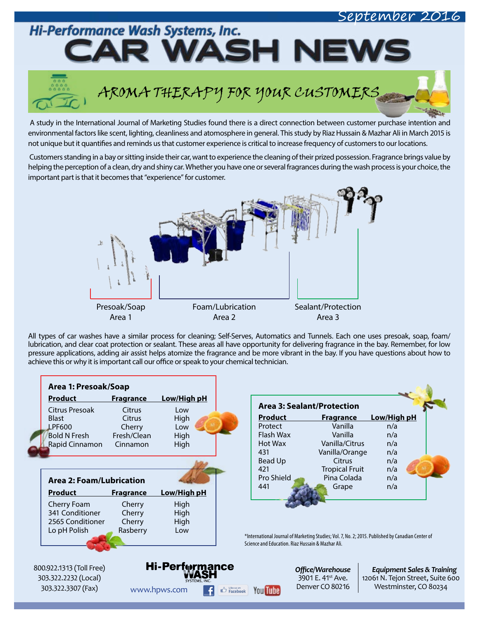## ptember 2016

Hi-Performance Wash Systems, Inc. MASH N  $\blacksquare$ 

# AROMA THERAPY FOR YOUR CUSTOMERS

A study in the International Journal of Marketing Studies found there is a direct connection between customer purchase intention and environmental factors like scent, lighting, cleanliness and atomosphere in general. This study by Riaz Hussain & Mazhar Ali in March 2015 is not unique but it quantifies and reminds us that customer experience is critical to increase frequency of customers to our locations.

 Customers standing in a bay or sitting inside their car, want to experience the cleaning of their prized possession. Fragrance brings value by helping the perception of a clean, dry and shiny car. Whether you have one or several fragrances during the wash process is your choice, the important part is that it becomes that "experience" for customer.



All types of car washes have a similar process for cleaning; Self-Serves, Automatics and Tunnels. Each one uses presoak, soap, foam/ lubrication, and clear coat protection or sealant. These areas all have opportunity for delivering fragrance in the bay. Remember, for low pressure applications, adding air assist helps atomize the fragrance and be more vibrant in the bay. If you have questions about how to achieve this or why it is important call our office or speak to your chemical technician.

| <b>Product</b>                  | <u>Fragrance</u> | Low/High pH           |
|---------------------------------|------------------|-----------------------|
| Citrus Presoak                  | Citrus           | l ow                  |
| <b>Blast</b>                    | <b>Citrus</b>    | High                  |
| <b>LPF600</b>                   | Cherry           | l ow                  |
| <b>Bold N Fresh</b>             | Fresh/Clean      | High                  |
| Rapid Cinnamon Cinnamon         |                  | High                  |
| <b>Area 2: Foam/Lubrication</b> |                  |                       |
|                                 |                  |                       |
| Product                         |                  |                       |
|                                 | <u>Fragrance</u> | <u>Low/High pH</u>    |
| Cherry Foam<br>341 Conditioner  | Cherry           | High                  |
| 2565 Conditioner                | Cherry<br>Cherry | High                  |
| Lo pH Polish                    | Rasberry         | High<br>Low           |
|                                 |                  |                       |
| 800.922.1313 (Toll Free)        |                  | <b>Hi-Perf</b> rmance |
| 303.322.2232 (Local)            |                  | SYSTEMS. <b>I</b> NC  |

| <b>Product</b> | <b>Fragrance</b>      | Low/High pH |
|----------------|-----------------------|-------------|
| Protect        | Vanilla               | n/a         |
| Flash Wax      | Vanilla               | n/a         |
| Hot Wax        | Vanilla/Citrus        | n/a         |
| 431            | Vanilla/Orange        | n/a         |
| <b>Bead Up</b> | Citrus                | n/a         |
| 421            | <b>Tropical Fruit</b> | n/a         |
| Pro Shield     | Pina Colada           | n/a         |
| 441            | Grape                 | n/a         |

\*International Journal of Marketing Studies; Vol. 7, No. 2; 2015. Published by Canadian Center of Science and Education. Riaz Hussain & Mazhar Ali.

> *Offi ce/Warehouse* 3901 E. 41<sup>st</sup> Ave. Denver CO 80216

*Equipment Sales & Training* 12061 N. Tejon Street, Suite 600 WWW.hpws.com **F**  $\bigoplus$  Facebook You Tube Denver CO 80216 Westminster, CO 80234